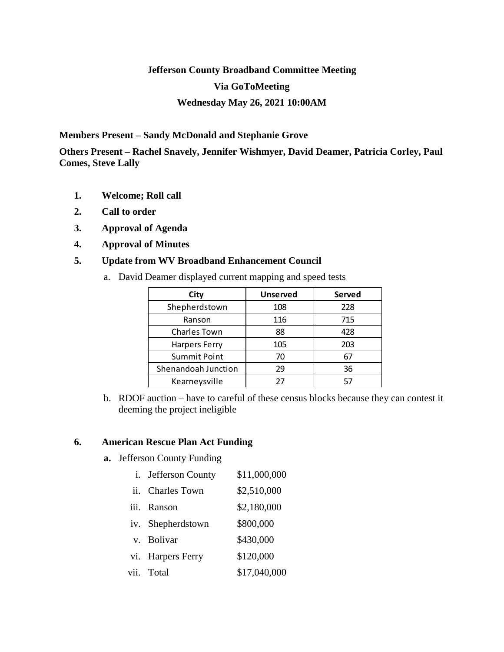# **Jefferson County Broadband Committee Meeting Via GoToMeeting Wednesday May 26, 2021 10:00AM**

**Members Present – Sandy McDonald and Stephanie Grove**

**Others Present – Rachel Snavely, Jennifer Wishmyer, David Deamer, Patricia Corley, Paul Comes, Steve Lally**

- **1. Welcome; Roll call**
- **2. Call to order**
- **3. Approval of Agenda**
- **4. Approval of Minutes**

## **5. Update from WV Broadband Enhancement Council**

a. David Deamer displayed current mapping and speed tests

| City                 | <b>Unserved</b> | Served |
|----------------------|-----------------|--------|
| Shepherdstown        | 108             | 228    |
| Ranson               | 116             | 715    |
| <b>Charles Town</b>  | 88              | 428    |
| <b>Harpers Ferry</b> | 105             | 203    |
| <b>Summit Point</b>  | 70              | 67     |
| Shenandoah Junction  | 29              | 36     |
| Kearneysville        | 27              |        |

b. RDOF auction – have to careful of these census blocks because they can contest it deeming the project ineligible

### **6. American Rescue Plan Act Funding**

**a.** Jefferson County Funding

| i. Jefferson County | \$11,000,000 |
|---------------------|--------------|
| ii. Charles Town    | \$2,510,000  |
| iii. Ranson         | \$2,180,000  |
| iv. Shepherdstown   | \$800,000    |
| v. Bolivar          | \$430,000    |
| vi. Harpers Ferry   | \$120,000    |
| vii. Total          | \$17,040,000 |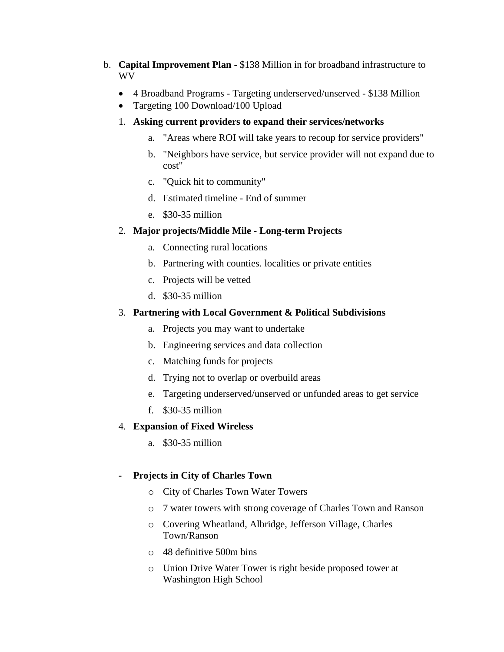- b. **Capital Improvement Plan** \$138 Million in for broadband infrastructure to WV
	- 4 Broadband Programs Targeting underserved/unserved \$138 Million
	- Targeting 100 Download/100 Upload

## 1. **Asking current providers to expand their services/networks**

- a. "Areas where ROI will take years to recoup for service providers"
- b. "Neighbors have service, but service provider will not expand due to cost"
- c. "Quick hit to community"
- d. Estimated timeline End of summer
- e. \$30-35 million

## 2. **Major projects/Middle Mile - Long-term Projects**

- a. Connecting rural locations
- b. Partnering with counties. localities or private entities
- c. Projects will be vetted
- d. \$30-35 million

### 3. **Partnering with Local Government & Political Subdivisions**

- a. Projects you may want to undertake
- b. Engineering services and data collection
- c. Matching funds for projects
- d. Trying not to overlap or overbuild areas
- e. Targeting underserved/unserved or unfunded areas to get service
- f. \$30-35 million

#### 4. **Expansion of Fixed Wireless**

a. \$30-35 million

## **- Projects in City of Charles Town**

- o City of Charles Town Water Towers
- o 7 water towers with strong coverage of Charles Town and Ranson
- o Covering Wheatland, Albridge, Jefferson Village, Charles Town/Ranson
- o 48 definitive 500m bins
- o Union Drive Water Tower is right beside proposed tower at Washington High School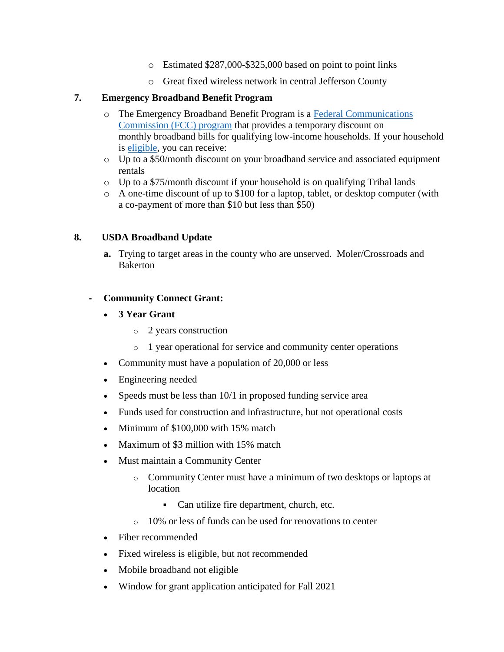- o Estimated \$287,000-\$325,000 based on point to point links
- o Great fixed wireless network in central Jefferson County

## **7. Emergency Broadband Benefit Program**

- o The Emergency Broadband Benefit Program is a [Federal Communications](https://www.fcc.gov/broadbandbenefit/)  [Commission \(FCC\)](https://www.fcc.gov/broadbandbenefit/) program that provides a temporary discount on monthly broadband bills for qualifying low-income households. If your household is [eligible,](https://getemergencybroadband.org/do-i-qualify/) you can receive:
- o Up to a \$50/month discount on your broadband service and associated equipment rentals
- $\circ$  Up to a \$75/month discount if your household is on qualifying Tribal lands
- o A one-time discount of up to \$100 for a laptop, tablet, or desktop computer (with a co-payment of more than \$10 but less than \$50)

### **8. USDA Broadband Update**

**a.** Trying to target areas in the county who are unserved. Moler/Crossroads and Bakerton

### **- Community Connect Grant:**

- **3 Year Grant**
	- o 2 years construction
	- o 1 year operational for service and community center operations
- Community must have a population of 20,000 or less
- Engineering needed
- Speeds must be less than  $10/1$  in proposed funding service area
- Funds used for construction and infrastructure, but not operational costs
- Minimum of \$100,000 with 15% match
- Maximum of \$3 million with 15% match
- Must maintain a Community Center
	- o Community Center must have a minimum of two desktops or laptops at location
		- Can utilize fire department, church, etc.
	- o 10% or less of funds can be used for renovations to center
- Fiber recommended
- Fixed wireless is eligible, but not recommended
- Mobile broadband not eligible
- Window for grant application anticipated for Fall 2021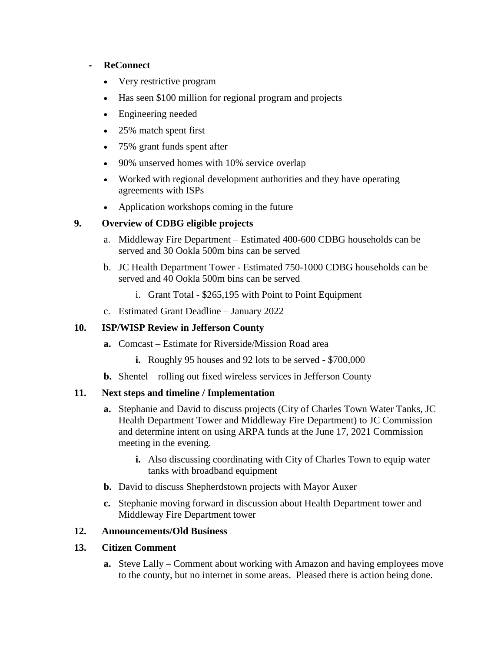### **- ReConnect**

- Very restrictive program
- Has seen \$100 million for regional program and projects
- Engineering needed
- 25% match spent first
- 75% grant funds spent after
- 90% unserved homes with 10% service overlap
- Worked with regional development authorities and they have operating agreements with ISPs
- Application workshops coming in the future

## **9. Overview of CDBG eligible projects**

- a. Middleway Fire Department Estimated 400-600 CDBG households can be served and 30 Ookla 500m bins can be served
- b. JC Health Department Tower Estimated 750-1000 CDBG households can be served and 40 Ookla 500m bins can be served
	- i. Grant Total \$265,195 with Point to Point Equipment
- c. Estimated Grant Deadline January 2022

## **10. ISP/WISP Review in Jefferson County**

- **a.** Comcast Estimate for Riverside/Mission Road area
	- **i.** Roughly 95 houses and 92 lots to be served \$700,000
- **b.** Shentel rolling out fixed wireless services in Jefferson County

## **11. Next steps and timeline / Implementation**

- **a.** Stephanie and David to discuss projects (City of Charles Town Water Tanks, JC Health Department Tower and Middleway Fire Department) to JC Commission and determine intent on using ARPA funds at the June 17, 2021 Commission meeting in the evening.
	- **i.** Also discussing coordinating with City of Charles Town to equip water tanks with broadband equipment
- **b.** David to discuss Shepherdstown projects with Mayor Auxer
- **c.** Stephanie moving forward in discussion about Health Department tower and Middleway Fire Department tower

## **12. Announcements/Old Business**

## **13. Citizen Comment**

**a.** Steve Lally – Comment about working with Amazon and having employees move to the county, but no internet in some areas. Pleased there is action being done.